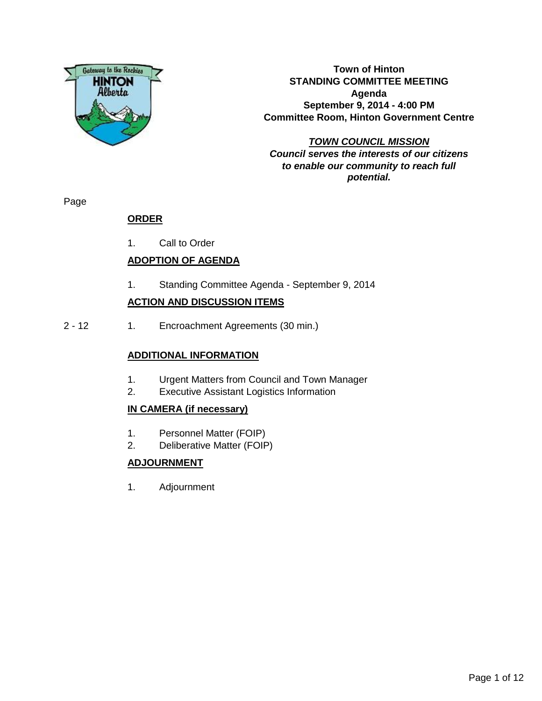

**Town of Hinton STANDING COMMITTEE MEETING Agenda September 9, 2014 - 4:00 PM Committee Room, Hinton Government Centre**

**TOWN COUNCIL MISSION Council serves the interests of our citizens to enable our community to reach full potential.**

Page

# **ORDER**

1. Call to Order

# **ADOPTION OF AGENDA**

1. Standing Committee Agenda - September 9, 2014

### **ACTION AND DISCUSSION ITEMS**

2 - 12 1. Encroachment Agreements (30 min.)

### **ADDITIONAL INFORMATION**

- 1. Urgent Matters from Council and Town Manager
- 2. Executive Assistant Logistics Information

### **IN CAMERA (if necessary)**

- 1. Personnel Matter (FOIP)
- 2. Deliberative Matter (FOIP)

### **ADJOURNMENT**

1. Adjournment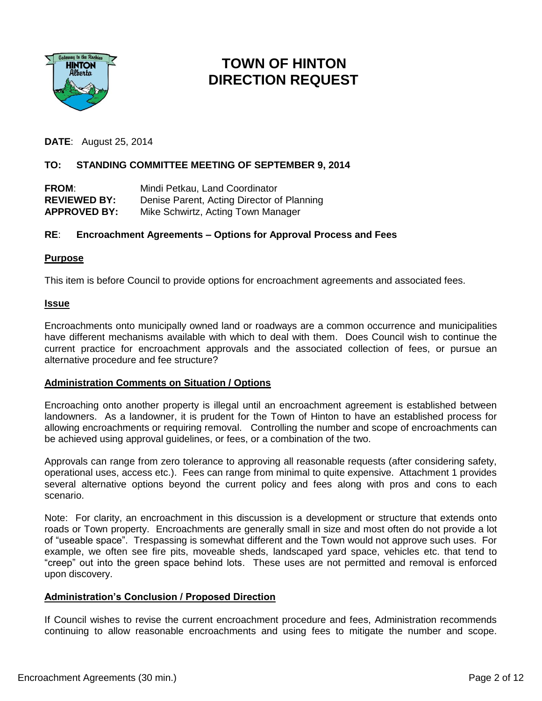

# **TOWN OF HINTON DIRECTION REQUEST**

**DATE**: August 25, 2014

### **TO: STANDING COMMITTEE MEETING OF SEPTEMBER 9, 2014**

| <b>FROM:</b>        | Mindi Petkau, Land Coordinator             |
|---------------------|--------------------------------------------|
| <b>REVIEWED BY:</b> | Denise Parent, Acting Director of Planning |
| <b>APPROVED BY:</b> | Mike Schwirtz, Acting Town Manager         |

### **RE**: **Encroachment Agreements – Options for Approval Process and Fees**

#### **Purpose**

This item is before Council to provide options for encroachment agreements and associated fees.

#### **Issue**

Encroachments onto municipally owned land or roadways are a common occurrence and municipalities have different mechanisms available with which to deal with them. Does Council wish to continue the current practice for encroachment approvals and the associated collection of fees, or pursue an alternative procedure and fee structure?

### **Administration Comments on Situation / Options**

Encroaching onto another property is illegal until an encroachment agreement is established between landowners. As a landowner, it is prudent for the Town of Hinton to have an established process for allowing encroachments or requiring removal. Controlling the number and scope of encroachments can be achieved using approval guidelines, or fees, or a combination of the two.

Approvals can range from zero tolerance to approving all reasonable requests (after considering safety, operational uses, access etc.). Fees can range from minimal to quite expensive. Attachment 1 provides several alternative options beyond the current policy and fees along with pros and cons to each scenario.

Note: For clarity, an encroachment in this discussion is a development or structure that extends onto roads or Town property. Encroachments are generally small in size and most often do not provide a lot of "useable space". Trespassing is somewhat different and the Town would not approve such uses. For example, we often see fire pits, moveable sheds, landscaped yard space, vehicles etc. that tend to "creep" out into the green space behind lots. These uses are not permitted and removal is enforced upon discovery.

### **Administration's Conclusion / Proposed Direction**

If Council wishes to revise the current encroachment procedure and fees, Administration recommends continuing to allow reasonable encroachments and using fees to mitigate the number and scope.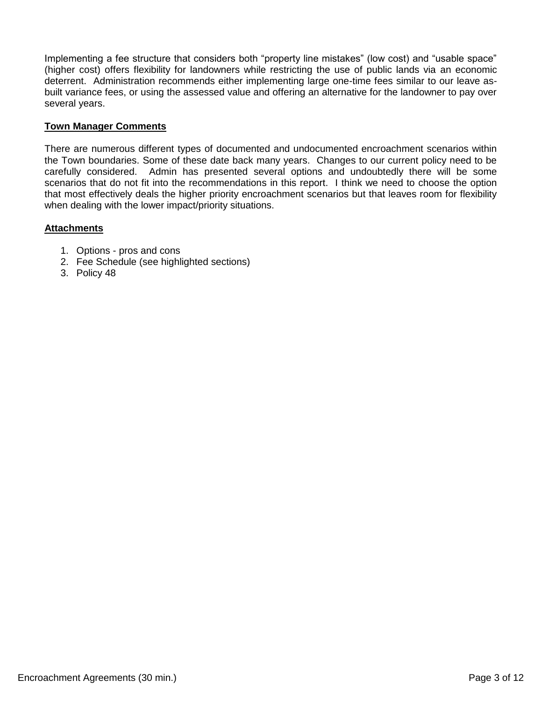Implementing a fee structure that considers both "property line mistakes" (low cost) and "usable space" (higher cost) offers flexibility for landowners while restricting the use of public lands via an economic deterrent. Administration recommends either implementing large one-time fees similar to our leave asbuilt variance fees, or using the assessed value and offering an alternative for the landowner to pay over several years.

### **Town Manager Comments**

There are numerous different types of documented and undocumented encroachment scenarios within the Town boundaries. Some of these date back many years. Changes to our current policy need to be carefully considered. Admin has presented several options and undoubtedly there will be some scenarios that do not fit into the recommendations in this report. I think we need to choose the option that most effectively deals the higher priority encroachment scenarios but that leaves room for flexibility when dealing with the lower impact/priority situations.

### **Attachments**

- 1. Options pros and cons
- 2. Fee Schedule (see highlighted sections)
- 3. Policy 48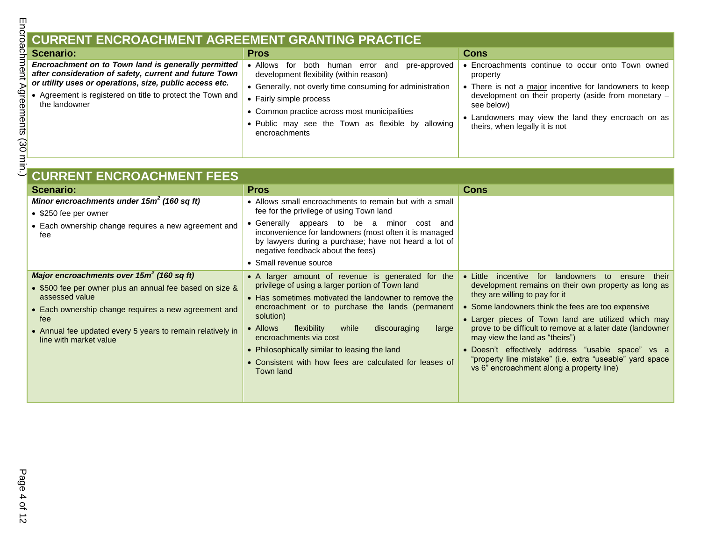# **CURRENT ENCROACHMENT AGREEMENT GRANTING PRACTICE**

| <b>Scenario:</b>                                                                                                                       | <b>Pros</b>                                                                                                                                                                                                | Cons                                                                                                                                                                                                                  |
|----------------------------------------------------------------------------------------------------------------------------------------|------------------------------------------------------------------------------------------------------------------------------------------------------------------------------------------------------------|-----------------------------------------------------------------------------------------------------------------------------------------------------------------------------------------------------------------------|
| Encroachment on to Town land is generally permitted<br>after consideration of safety, current and future Town                          | $\bullet$ Allows<br>both<br>pre-approved<br>and<br>human error<br>for<br>development flexibility (within reason)                                                                                           | Encroachments continue to occur onto Town owned<br>property                                                                                                                                                           |
| or utility uses or operations, size, public access etc.<br>• Agreement is registered on title to protect the Town and<br>the landowner | • Generally, not overly time consuming for administration<br>• Fairly simple process<br>• Common practice across most municipalities<br>• Public may see the Town as flexible by allowing<br>encroachments | • There is not a major incentive for landowners to keep<br>development on their property (aside from monetary -<br>see below)<br>• Landowners may view the land they encroach on as<br>theirs, when legally it is not |

| <b>CURRENT ENCROACHMENT FEES</b>                                                     |                                                                                                                                                                                                           |                                                                                                           |
|--------------------------------------------------------------------------------------|-----------------------------------------------------------------------------------------------------------------------------------------------------------------------------------------------------------|-----------------------------------------------------------------------------------------------------------|
| <b>Scenario:</b>                                                                     | <b>Pros</b>                                                                                                                                                                                               | <b>Cons</b>                                                                                               |
| Minor encroachments under $15m^2$ (160 sq ft)                                        | • Allows small encroachments to remain but with a small                                                                                                                                                   |                                                                                                           |
| • \$250 fee per owner                                                                | fee for the privilege of using Town land                                                                                                                                                                  |                                                                                                           |
| • Each ownership change requires a new agreement and<br>fee                          | Generally appears to be a<br>minor<br>cost<br>and<br>inconvenience for landowners (most often it is managed<br>by lawyers during a purchase; have not heard a lot of<br>negative feedback about the fees) |                                                                                                           |
|                                                                                      | • Small revenue source                                                                                                                                                                                    |                                                                                                           |
| Major encroachments over $15m^2$ (160 sq ft)                                         | • A larger amount of revenue is generated for the                                                                                                                                                         | for<br>landowners<br>$\bullet$ Little<br>incentive<br>to<br>their<br>ensure                               |
| • \$500 fee per owner plus an annual fee based on size &<br>assessed value           | privilege of using a larger portion of Town land<br>• Has sometimes motivated the landowner to remove the                                                                                                 | development remains on their own property as long as<br>they are willing to pay for it                    |
| • Each ownership change requires a new agreement and<br>fee                          | encroachment or to purchase the lands (permanent<br>solution)                                                                                                                                             | • Some landowners think the fees are too expensive<br>• Larger pieces of Town land are utilized which may |
| • Annual fee updated every 5 years to remain relatively in<br>line with market value | • Allows<br>flexibility<br>while<br>large<br>discouraging<br>encroachments via cost                                                                                                                       | prove to be difficult to remove at a later date (landowner<br>may view the land as "theirs")              |
|                                                                                      | • Philosophically similar to leasing the land                                                                                                                                                             | · Doesn't effectively address "usable space" vs a                                                         |
|                                                                                      | • Consistent with how fees are calculated for leases of<br>Town land                                                                                                                                      | "property line mistake" (i.e. extra "useable" yard space<br>vs 6" encroachment along a property line)     |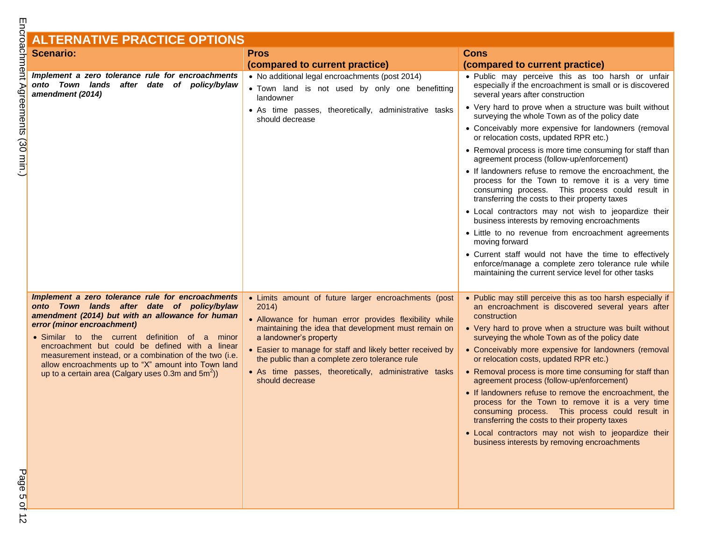#### **ALTERNATIVE PRACTICE OPTIONS Scenario: Pros Pros (compared to current practice) Cons (compared to current practice)** *Implement a zero tolerance rule for encroachments onto Town lands after date of policy/bylaw amendment (2014)* • No additional legal encroachments (post 2014) Town land is not used by only one benefitting landowner As time passes, theoretically, administrative tasks should decrease • Public may perceive this as too harsh or unfair especially if the encroachment is small or is discovered several years after construction Very hard to prove when a structure was built without surveying the whole Town as of the policy date Conceivably more expensive for landowners (removal or relocation costs, updated RPR etc.)

• If landowners refuse to remove the encroachment, the process for the Town to remove it is a very time consuming process. This process could result in transferring the costs to their property taxes Local contractors may not wish to jeopardize their business interests by removing encroachments Little to no revenue from encroachment agreements moving forward Current staff would not have the time to effectively enforce/manage a complete zero tolerance rule while maintaining the current service level for other tasks *Implement a zero tolerance rule for encroachments onto Town lands after date of policy/bylaw amendment (2014) but with an allowance for human error (minor encroachment)* • Limits amount of future larger encroachments (post 2014) Allowance for human error provides flexibility while maintaining the idea that development must remain on • Public may still perceive this as too harsh especially if an encroachment is discovered several years after construction Very hard to prove when a structure was built without

- Similar to the current definition of a minor encroachment but could be defined with a linear measurement instead, or a combination of the two (i.e. allow encroachments up to "X" amount into Town land up to a certain area (Calgary uses 0.3m and  $5m^2$ ))
- a landowner's property
- Easier to manage for staff and likely better received by the public than a complete zero tolerance rule
- As time passes, theoretically, administrative tasks should decrease
- surveying the whole Town as of the policy date • Conceivably more expensive for landowners (removal or relocation costs, updated RPR etc.) • Removal process is more time consuming for staff than agreement process (follow-up/enforcement)
	- If landowners refuse to remove the encroachment, the process for the Town to remove it is a very time consuming process. This process could result in transferring the costs to their property taxes

• Removal process is more time consuming for staff than

agreement process (follow-up/enforcement)

 Local contractors may not wish to jeopardize their business interests by removing encroachments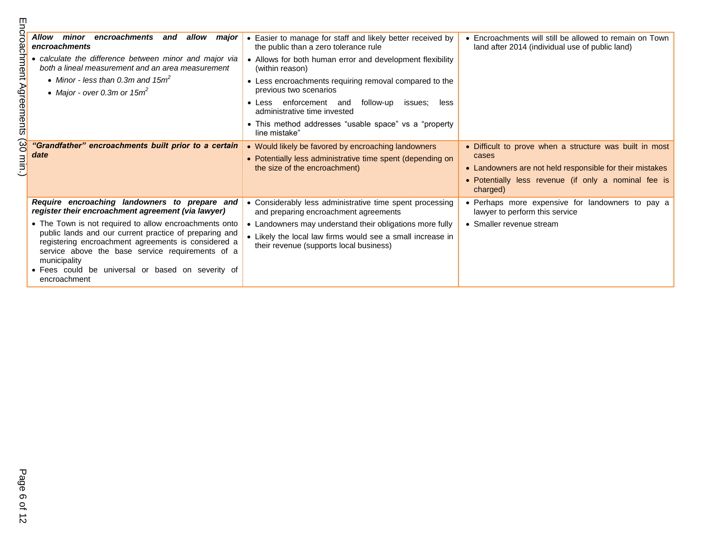| Ш                                   |                                                                                                                                                                                                                                                                                                                  |                                                                                                                                                                   |                                                                                                                                                                                                  |
|-------------------------------------|------------------------------------------------------------------------------------------------------------------------------------------------------------------------------------------------------------------------------------------------------------------------------------------------------------------|-------------------------------------------------------------------------------------------------------------------------------------------------------------------|--------------------------------------------------------------------------------------------------------------------------------------------------------------------------------------------------|
| roacl                               | Allow minor<br>encroachments and<br>allow<br>major<br>encroachments                                                                                                                                                                                                                                              | • Easier to manage for staff and likely better received by<br>the public than a zero tolerance rule                                                               | • Encroachments will still be allowed to remain on Town<br>land after 2014 (individual use of public land)                                                                                       |
| hment.                              | • calculate the difference between minor and major via<br>both a lineal measurement and an area measurement                                                                                                                                                                                                      | • Allows for both human error and development flexibility<br>(within reason)                                                                                      |                                                                                                                                                                                                  |
|                                     | • Minor - less than 0.3m and 15 $m2$<br>• Major - over 0.3m or $15m^2$                                                                                                                                                                                                                                           | • Less encroachments requiring removal compared to the<br>previous two scenarios                                                                                  |                                                                                                                                                                                                  |
| Agreements                          |                                                                                                                                                                                                                                                                                                                  | enforcement and<br>follow-up<br>less<br>$\bullet$ Less<br>issues:<br>administrative time invested                                                                 |                                                                                                                                                                                                  |
|                                     |                                                                                                                                                                                                                                                                                                                  | • This method addresses "usable space" vs a "property<br>line mistake"                                                                                            |                                                                                                                                                                                                  |
| $\Omega$<br>$\overline{\text{min}}$ | "Grandfather" encroachments built prior to a certain<br>date                                                                                                                                                                                                                                                     | • Would likely be favored by encroaching landowners<br>• Potentially less administrative time spent (depending on<br>the size of the encroachment)                | • Difficult to prove when a structure was built in most<br>cases<br>• Landowners are not held responsible for their mistakes<br>• Potentially less revenue (if only a nominal fee is<br>charged) |
|                                     | Require encroaching landowners to prepare and<br>register their encroachment agreement (via lawyer)                                                                                                                                                                                                              | • Considerably less administrative time spent processing<br>and preparing encroachment agreements                                                                 | • Perhaps more expensive for landowners to pay a<br>lawyer to perform this service                                                                                                               |
|                                     | • The Town is not required to allow encroachments onto<br>public lands and our current practice of preparing and<br>registering encroachment agreements is considered a<br>service above the base service requirements of a<br>municipality<br>• Fees could be universal or based on severity of<br>encroachment | • Landowners may understand their obligations more fully<br>• Likely the local law firms would see a small increase in<br>their revenue (supports local business) | • Smaller revenue stream                                                                                                                                                                         |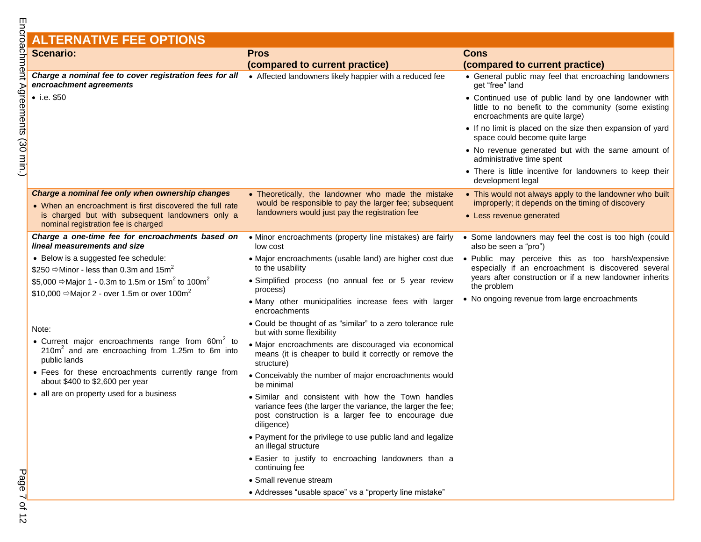# **ALTERNATIVE FEE OPTIONS**

|                              | <b>Scenario:</b>                                                                                                                            | <b>Pros</b>                                                                                                                                                                           | <b>Cons</b>                                                                                                                                    |
|------------------------------|---------------------------------------------------------------------------------------------------------------------------------------------|---------------------------------------------------------------------------------------------------------------------------------------------------------------------------------------|------------------------------------------------------------------------------------------------------------------------------------------------|
|                              |                                                                                                                                             | (compared to current practice)                                                                                                                                                        | (compared to current practice)                                                                                                                 |
|                              | Charge a nominal fee to cover registration fees for all . Affected landowners likely happier with a reduced fee<br>encroachment agreements  |                                                                                                                                                                                       | • General public may feel that encroaching landowners<br>get "free" land                                                                       |
| achment Agreements (30 min.) | $\bullet$ i.e. \$50                                                                                                                         |                                                                                                                                                                                       | • Continued use of public land by one landowner with<br>little to no benefit to the community (some existing<br>encroachments are quite large) |
|                              |                                                                                                                                             |                                                                                                                                                                                       | • If no limit is placed on the size then expansion of yard<br>space could become quite large                                                   |
|                              |                                                                                                                                             |                                                                                                                                                                                       | • No revenue generated but with the same amount of<br>administrative time spent                                                                |
|                              |                                                                                                                                             |                                                                                                                                                                                       | • There is little incentive for landowners to keep their<br>development legal                                                                  |
|                              | Charge a nominal fee only when ownership changes                                                                                            | • Theoretically, the landowner who made the mistake                                                                                                                                   | • This would not always apply to the landowner who built                                                                                       |
|                              | • When an encroachment is first discovered the full rate                                                                                    | would be responsible to pay the larger fee; subsequent<br>landowners would just pay the registration fee                                                                              | improperly; it depends on the timing of discovery                                                                                              |
|                              | is charged but with subsequent landowners only a<br>nominal registration fee is charged                                                     |                                                                                                                                                                                       | • Less revenue generated                                                                                                                       |
|                              | Charge a one-time fee for encroachments based on<br>lineal measurements and size                                                            | • Minor encroachments (property line mistakes) are fairly<br>low cost                                                                                                                 | • Some landowners may feel the cost is too high (could<br>also be seen a "pro")                                                                |
|                              | • Below is a suggested fee schedule:                                                                                                        | • Major encroachments (usable land) are higher cost due                                                                                                                               | · Public may perceive this as too harsh/expensive                                                                                              |
|                              | \$250 $\Rightarrow$ Minor - less than 0.3m and 15m <sup>2</sup>                                                                             | to the usability                                                                                                                                                                      | especially if an encroachment is discovered several<br>years after construction or if a new landowner inherits                                 |
|                              | \$5,000 ⇒Major 1 - 0.3m to 1.5m or 15m <sup>2</sup> to 100m <sup>2</sup>                                                                    | · Simplified process (no annual fee or 5 year review<br>process)                                                                                                                      | the problem                                                                                                                                    |
|                              | \$10,000 $\Rightarrow$ Major 2 - over 1.5m or over 100m <sup>2</sup>                                                                        | · Many other municipalities increase fees with larger<br>encroachments                                                                                                                | • No ongoing revenue from large encroachments                                                                                                  |
|                              | Note:                                                                                                                                       | • Could be thought of as "similar" to a zero tolerance rule<br>but with some flexibility                                                                                              |                                                                                                                                                |
|                              | • Current major encroachments range from 60m <sup>2</sup> to<br>210m <sup>2</sup> and are encroaching from 1.25m to 6m into<br>public lands | · Major encroachments are discouraged via economical<br>means (it is cheaper to build it correctly or remove the<br>structure)                                                        |                                                                                                                                                |
|                              | • Fees for these encroachments currently range from<br>about \$400 to \$2,600 per year                                                      | • Conceivably the number of major encroachments would<br>be minimal                                                                                                                   |                                                                                                                                                |
|                              | • all are on property used for a business                                                                                                   | • Similar and consistent with how the Town handles<br>variance fees (the larger the variance, the larger the fee;<br>post construction is a larger fee to encourage due<br>diligence) |                                                                                                                                                |
|                              |                                                                                                                                             | • Payment for the privilege to use public land and legalize<br>an illegal structure                                                                                                   |                                                                                                                                                |
|                              |                                                                                                                                             | · Easier to justify to encroaching landowners than a<br>continuing fee                                                                                                                |                                                                                                                                                |
| Page                         |                                                                                                                                             | • Small revenue stream                                                                                                                                                                |                                                                                                                                                |
|                              |                                                                                                                                             | • Addresses "usable space" vs a "property line mistake"                                                                                                                               |                                                                                                                                                |
| $-412$                       |                                                                                                                                             |                                                                                                                                                                                       |                                                                                                                                                |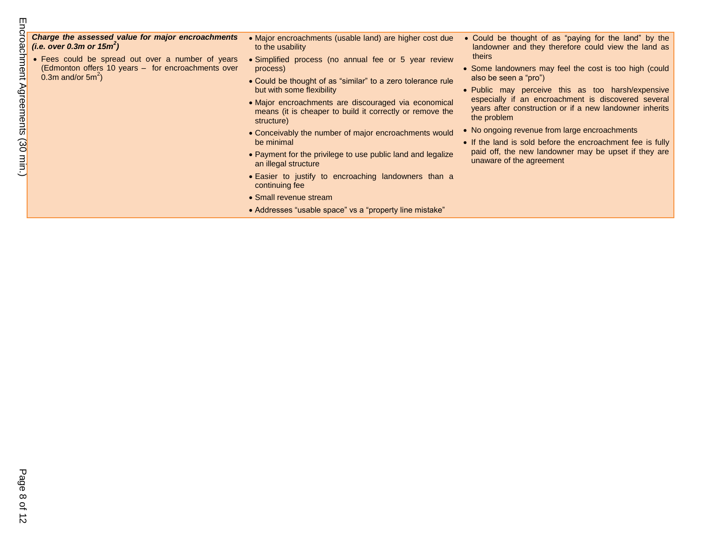| m                                                         |                                                                                                                                                                                                                      |                                                                                                                                                                                                                                                                                                                                                                                                                                                                                                                                                                                                                                                 |                                                                                                                                                                                                                                                                                                                                                                                                                                                                                                                                                                                                    |
|-----------------------------------------------------------|----------------------------------------------------------------------------------------------------------------------------------------------------------------------------------------------------------------------|-------------------------------------------------------------------------------------------------------------------------------------------------------------------------------------------------------------------------------------------------------------------------------------------------------------------------------------------------------------------------------------------------------------------------------------------------------------------------------------------------------------------------------------------------------------------------------------------------------------------------------------------------|----------------------------------------------------------------------------------------------------------------------------------------------------------------------------------------------------------------------------------------------------------------------------------------------------------------------------------------------------------------------------------------------------------------------------------------------------------------------------------------------------------------------------------------------------------------------------------------------------|
| achment Agreements<br>$\Omega$<br>$\overline{\text{min}}$ | Charge the assessed value for major encroachments<br>(i.e. over 0.3m or $15m^2$ )<br>• Fees could be spread out over a number of years<br>(Edmonton offers 10 years - for encroachments over<br>0.3m and/or $5m^2$ ) | • Major encroachments (usable land) are higher cost due<br>to the usability<br>• Simplified process (no annual fee or 5 year review<br>process)<br>• Could be thought of as "similar" to a zero tolerance rule<br>but with some flexibility<br>• Major encroachments are discouraged via economical<br>means (it is cheaper to build it correctly or remove the<br>structure)<br>• Conceivably the number of major encroachments would<br>be minimal<br>• Payment for the privilege to use public land and legalize<br>an illegal structure<br>• Easier to justify to encroaching landowners than a<br>continuing fee<br>• Small revenue stream | • Could be thought of as "paying for the land" by the<br>landowner and they therefore could view the land as<br>theirs<br>• Some landowners may feel the cost is too high (could<br>also be seen a "pro")<br>• Public may perceive this as too harsh/expensive<br>especially if an encroachment is discovered several<br>years after construction or if a new landowner inherits<br>the problem<br>• No ongoing revenue from large encroachments<br>• If the land is sold before the encroachment fee is fully<br>paid off, the new landowner may be upset if they are<br>unaware of the agreement |
|                                                           |                                                                                                                                                                                                                      | • Addresses "usable space" vs a "property line mistake"                                                                                                                                                                                                                                                                                                                                                                                                                                                                                                                                                                                         |                                                                                                                                                                                                                                                                                                                                                                                                                                                                                                                                                                                                    |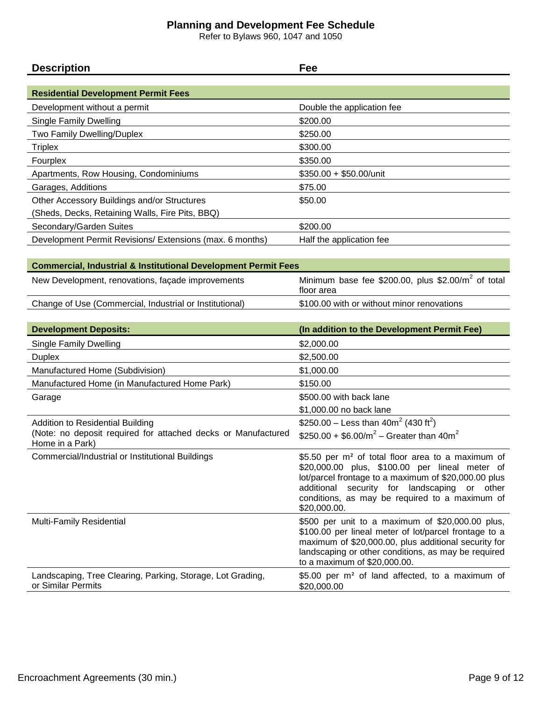### **Planning and Development Fee Schedule**

Refer to Bylaws 960, 1047 and 1050

| <b>Description</b>                                                                            | Fee                                                                                                                                                                                                                                                                                       |
|-----------------------------------------------------------------------------------------------|-------------------------------------------------------------------------------------------------------------------------------------------------------------------------------------------------------------------------------------------------------------------------------------------|
|                                                                                               |                                                                                                                                                                                                                                                                                           |
| <b>Residential Development Permit Fees</b>                                                    |                                                                                                                                                                                                                                                                                           |
| Development without a permit                                                                  | Double the application fee                                                                                                                                                                                                                                                                |
| <b>Single Family Dwelling</b>                                                                 | \$200.00                                                                                                                                                                                                                                                                                  |
| Two Family Dwelling/Duplex                                                                    | \$250.00                                                                                                                                                                                                                                                                                  |
| <b>Triplex</b>                                                                                | \$300.00                                                                                                                                                                                                                                                                                  |
| Fourplex                                                                                      | \$350.00                                                                                                                                                                                                                                                                                  |
| Apartments, Row Housing, Condominiums                                                         | \$350.00 + \$50.00/unit                                                                                                                                                                                                                                                                   |
| Garages, Additions                                                                            | \$75.00                                                                                                                                                                                                                                                                                   |
| Other Accessory Buildings and/or Structures                                                   | \$50.00                                                                                                                                                                                                                                                                                   |
| (Sheds, Decks, Retaining Walls, Fire Pits, BBQ)                                               |                                                                                                                                                                                                                                                                                           |
| Secondary/Garden Suites                                                                       | \$200.00                                                                                                                                                                                                                                                                                  |
| Development Permit Revisions/ Extensions (max. 6 months)                                      | Half the application fee                                                                                                                                                                                                                                                                  |
| <b>Commercial, Industrial &amp; Institutional Development Permit Fees</b>                     |                                                                                                                                                                                                                                                                                           |
| New Development, renovations, façade improvements                                             | Minimum base fee \$200.00, plus \$2.00/ $m^2$ of total                                                                                                                                                                                                                                    |
|                                                                                               | floor area                                                                                                                                                                                                                                                                                |
| Change of Use (Commercial, Industrial or Institutional)                                       | \$100.00 with or without minor renovations                                                                                                                                                                                                                                                |
|                                                                                               |                                                                                                                                                                                                                                                                                           |
|                                                                                               |                                                                                                                                                                                                                                                                                           |
| <b>Development Deposits:</b>                                                                  | (In addition to the Development Permit Fee)                                                                                                                                                                                                                                               |
| <b>Single Family Dwelling</b>                                                                 | \$2,000.00                                                                                                                                                                                                                                                                                |
| <b>Duplex</b>                                                                                 | \$2,500.00                                                                                                                                                                                                                                                                                |
| Manufactured Home (Subdivision)                                                               | \$1,000.00                                                                                                                                                                                                                                                                                |
| Manufactured Home (in Manufactured Home Park)                                                 | \$150.00                                                                                                                                                                                                                                                                                  |
| Garage                                                                                        | \$500.00 with back lane                                                                                                                                                                                                                                                                   |
|                                                                                               | \$1,000.00 no back lane                                                                                                                                                                                                                                                                   |
| <b>Addition to Residential Building</b>                                                       | \$250.00 - Less than $40m^2$ (430 ft <sup>2</sup> )                                                                                                                                                                                                                                       |
| (Note: no deposit required for attached decks or Manufactured<br>Home in a Park)              | \$250.00 + \$6.00/ $m^2$ – Greater than 40m <sup>2</sup>                                                                                                                                                                                                                                  |
| Commercial/Industrial or Institutional Buildings                                              | \$5.50 per m <sup>2</sup> of total floor area to a maximum of<br>\$20,000.00 plus, \$100.00 per lineal meter of<br>lot/parcel frontage to a maximum of \$20,000.00 plus<br>additional security for landscaping or other<br>conditions, as may be required to a maximum of<br>\$20,000.00. |
| <b>Multi-Family Residential</b><br>Landscaping, Tree Clearing, Parking, Storage, Lot Grading, | \$500 per unit to a maximum of \$20,000.00 plus,<br>\$100.00 per lineal meter of lot/parcel frontage to a<br>maximum of \$20,000.00, plus additional security for<br>landscaping or other conditions, as may be required<br>to a maximum of \$20,000.00.                                  |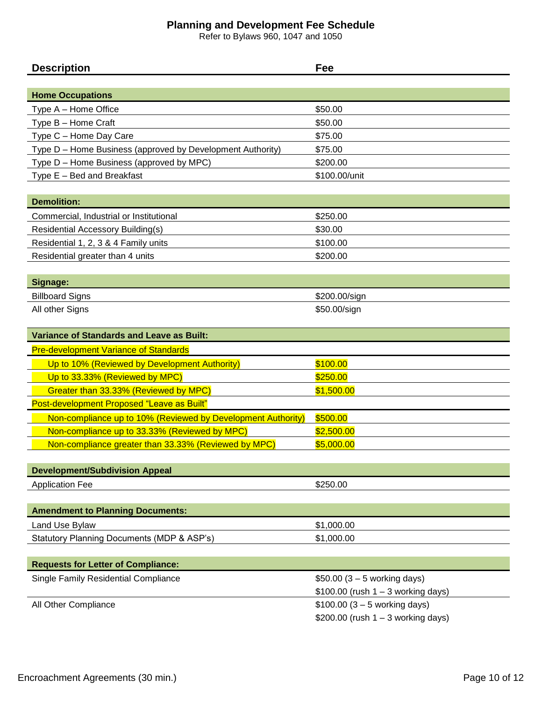### **Planning and Development Fee Schedule**

Refer to Bylaws 960, 1047 and 1050

| <b>Description</b>                                           | Fee                                   |
|--------------------------------------------------------------|---------------------------------------|
|                                                              |                                       |
| <b>Home Occupations</b>                                      |                                       |
| Type A - Home Office                                         | \$50.00                               |
| Type B - Home Craft                                          | \$50.00                               |
| Type C - Home Day Care                                       | \$75.00                               |
| Type D - Home Business (approved by Development Authority)   | \$75.00                               |
| Type D - Home Business (approved by MPC)                     | \$200.00                              |
| Type $E - Bed$ and Breakfast                                 | \$100.00/unit                         |
|                                                              |                                       |
| <b>Demolition:</b>                                           |                                       |
| Commercial, Industrial or Institutional                      | \$250.00                              |
| <b>Residential Accessory Building(s)</b>                     | \$30.00                               |
| Residential 1, 2, 3 & 4 Family units                         | \$100.00                              |
| Residential greater than 4 units                             | \$200.00                              |
|                                                              |                                       |
| Signage:                                                     |                                       |
| <b>Billboard Signs</b>                                       | \$200.00/sign                         |
| All other Signs                                              | \$50.00/sign                          |
|                                                              |                                       |
| <b>Variance of Standards and Leave as Built:</b>             |                                       |
| <b>Pre-development Variance of Standards</b>                 |                                       |
| Up to 10% (Reviewed by Development Authority)                | \$100.00                              |
| Up to 33.33% (Reviewed by MPC)                               | \$250.00                              |
| Greater than 33.33% (Reviewed by MPC)                        | \$1,500.00                            |
| Post-development Proposed "Leave as Built"                   |                                       |
| Non-compliance up to 10% (Reviewed by Development Authority) | \$500.00                              |
| Non-compliance up to 33.33% (Reviewed by MPC)                | \$2,500.00                            |
| Non-compliance greater than 33.33% (Reviewed by MPC)         | \$5,000.00                            |
|                                                              |                                       |
| <b>Development/Subdivision Appeal</b>                        |                                       |
| <b>Application Fee</b>                                       | \$250.00                              |
|                                                              |                                       |
| <b>Amendment to Planning Documents:</b>                      |                                       |
| Land Use Bylaw                                               | \$1,000.00                            |
| Statutory Planning Documents (MDP & ASP's)                   | \$1,000.00                            |
|                                                              |                                       |
| <b>Requests for Letter of Compliance:</b>                    |                                       |
| Single Family Residential Compliance                         | \$50.00 $(3 - 5$ working days)        |
|                                                              | $$100.00$ (rush $1 - 3$ working days) |
| All Other Compliance                                         | $$100.00 (3 - 5)$ working days)       |
|                                                              | $$200.00$ (rush $1 - 3$ working days) |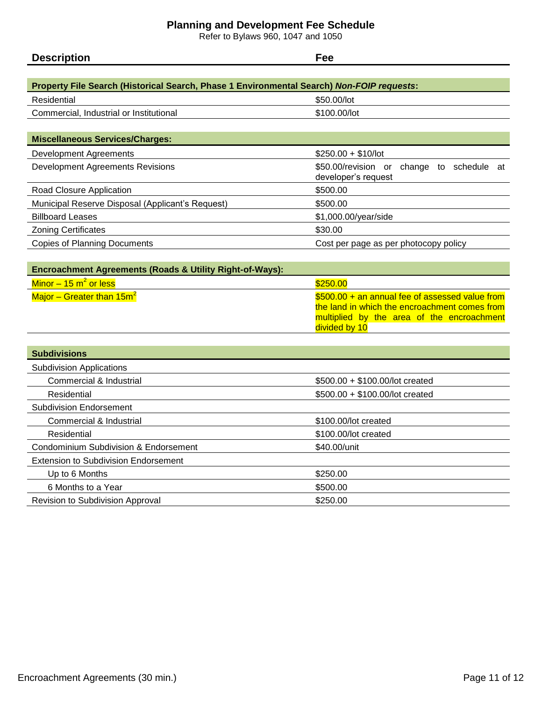### **Planning and Development Fee Schedule**

Refer to Bylaws 960, 1047 and 1050

| <b>Deserie</b><br>$-$ | 55 |  |
|-----------------------|----|--|
|                       |    |  |
|                       |    |  |

| Property File Search (Historical Search, Phase 1 Environmental Search) Non-FOIP requests: |                                                                     |  |  |
|-------------------------------------------------------------------------------------------|---------------------------------------------------------------------|--|--|
| Residential                                                                               | \$50.00/lot                                                         |  |  |
| Commercial, Industrial or Institutional                                                   | \$100.00/lot                                                        |  |  |
|                                                                                           |                                                                     |  |  |
| <b>Miscellaneous Services/Charges:</b>                                                    |                                                                     |  |  |
| Development Agreements                                                                    | $$250.00 + $10/$ lot                                                |  |  |
| <b>Development Agreements Revisions</b>                                                   | \$50.00/revision or<br>change to schedule at<br>developer's request |  |  |
| Road Closure Application                                                                  | \$500.00                                                            |  |  |
| Municipal Reserve Disposal (Applicant's Request)                                          | \$500.00                                                            |  |  |
| <b>Billboard Leases</b>                                                                   | \$1,000.00/year/side                                                |  |  |
| <b>Zoning Certificates</b>                                                                | \$30.00                                                             |  |  |
| <b>Copies of Planning Documents</b>                                                       | Cost per page as per photocopy policy                               |  |  |

| <b>Encroachment Agreements (Roads &amp; Utility Right-of-Ways):</b> |                                                                                                                                                                 |
|---------------------------------------------------------------------|-----------------------------------------------------------------------------------------------------------------------------------------------------------------|
| Minor $-$ 15 m <sup>2</sup> or less                                 | \$250.00                                                                                                                                                        |
| Major – Greater than 15m <sup>2</sup>                               | \$500.00 + an annual fee of assessed value from<br>the land in which the encroachment comes from<br>multiplied by the area of the encroachment<br>divided by 10 |

| <b>Subdivisions</b>                         |                                  |  |
|---------------------------------------------|----------------------------------|--|
| <b>Subdivision Applications</b>             |                                  |  |
| Commercial & Industrial                     | $$500.00 + $100.00/$ lot created |  |
| Residential                                 | \$500.00 + \$100.00/lot created  |  |
| <b>Subdivision Endorsement</b>              |                                  |  |
| Commercial & Industrial                     | \$100.00/lot created             |  |
| Residential                                 | \$100.00/lot created             |  |
| Condominium Subdivision & Endorsement       | \$40.00/unit                     |  |
| <b>Extension to Subdivision Endorsement</b> |                                  |  |
| Up to 6 Months                              | \$250.00                         |  |
| 6 Months to a Year                          | \$500.00                         |  |
| Revision to Subdivision Approval            | \$250.00                         |  |